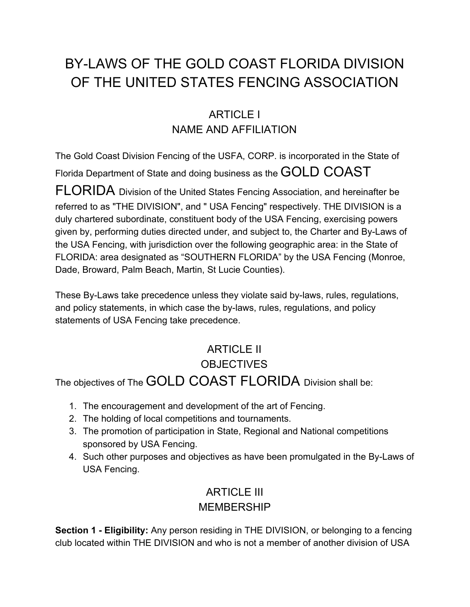# BY-LAWS OF THE GOLD COAST FLORIDA DIVISION OF THE UNITED STATES FENCING ASSOCIATION

### ARTICLE I NAME AND AFFILIATION

The Gold Coast Division Fencing of the USFA, CORP. is incorporated in the State of Florida Department of State and doing business as the GOLD COAST

FLORIDA Division of the United States Fencing Association, and hereinafter be referred to as "THE DIVISION", and " USA Fencing" respectively. THE DIVISION is a duly chartered subordinate, constituent body of the USA Fencing, exercising powers given by, performing duties directed under, and subject to, the Charter and By-Laws of the USA Fencing, with jurisdiction over the following geographic area: in the State of FLORIDA: area designated as "SOUTHERN FLORIDA" by the USA Fencing (Monroe, Dade, Broward, Palm Beach, Martin, St Lucie Counties).

These By-Laws take precedence unless they violate said by-laws, rules, regulations, and policy statements, in which case the by-laws, rules, regulations, and policy statements of USA Fencing take precedence.

### ARTICLE II **OBJECTIVES**

The objectives of The GOLD COAST FLORIDA Division shall be:

- 1. The encouragement and development of the art of Fencing.
- 2. The holding of local competitions and tournaments.
- 3. The promotion of participation in State, Regional and National competitions sponsored by USA Fencing.
- 4. Such other purposes and objectives as have been promulgated in the By-Laws of USA Fencing.

### ARTICLE III MEMBERSHIP

**Section 1 - Eligibility:** Any person residing in THE DIVISION, or belonging to a fencing club located within THE DIVISION and who is not a member of another division of USA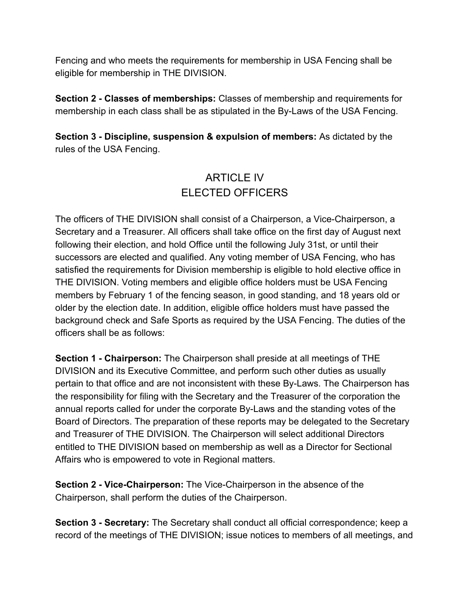Fencing and who meets the requirements for membership in USA Fencing shall be eligible for membership in THE DIVISION.

**Section 2 - Classes of memberships:** Classes of membership and requirements for membership in each class shall be as stipulated in the By-Laws of the USA Fencing.

**Section 3 - Discipline, suspension & expulsion of members:** As dictated by the rules of the USA Fencing.

### ARTICLE IV ELECTED OFFICERS

The officers of THE DIVISION shall consist of a Chairperson, a Vice-Chairperson, a Secretary and a Treasurer. All officers shall take office on the first day of August next following their election, and hold Office until the following July 31st, or until their successors are elected and qualified. Any voting member of USA Fencing, who has satisfied the requirements for Division membership is eligible to hold elective office in THE DIVISION. Voting members and eligible office holders must be USA Fencing members by February 1 of the fencing season, in good standing, and 18 years old or older by the election date. In addition, eligible office holders must have passed the background check and Safe Sports as required by the USA Fencing. The duties of the officers shall be as follows:

**Section 1 - Chairperson:** The Chairperson shall preside at all meetings of THE DIVISION and its Executive Committee, and perform such other duties as usually pertain to that office and are not inconsistent with these By-Laws. The Chairperson has the responsibility for filing with the Secretary and the Treasurer of the corporation the annual reports called for under the corporate By-Laws and the standing votes of the Board of Directors. The preparation of these reports may be delegated to the Secretary and Treasurer of THE DIVISION. The Chairperson will select additional Directors entitled to THE DIVISION based on membership as well as a Director for Sectional Affairs who is empowered to vote in Regional matters.

**Section 2 - Vice-Chairperson:** The Vice-Chairperson in the absence of the Chairperson, shall perform the duties of the Chairperson.

**Section 3 - Secretary:** The Secretary shall conduct all official correspondence; keep a record of the meetings of THE DIVISION; issue notices to members of all meetings, and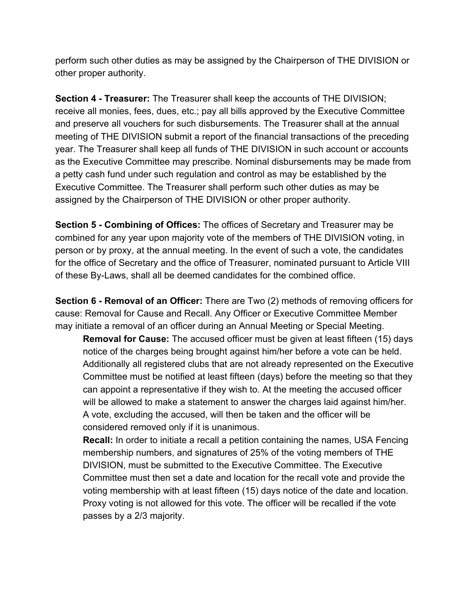perform such other duties as may be assigned by the Chairperson of THE DIVISION or other proper authority.

**Section 4 - Treasurer:** The Treasurer shall keep the accounts of THE DIVISION; receive all monies, fees, dues, etc.; pay all bills approved by the Executive Committee and preserve all vouchers for such disbursements. The Treasurer shall at the annual meeting of THE DIVISION submit a report of the financial transactions of the preceding year. The Treasurer shall keep all funds of THE DIVISION in such account or accounts as the Executive Committee may prescribe. Nominal disbursements may be made from a petty cash fund under such regulation and control as may be established by the Executive Committee. The Treasurer shall perform such other duties as may be assigned by the Chairperson of THE DIVISION or other proper authority.

**Section 5 - Combining of Offices:** The offices of Secretary and Treasurer may be combined for any year upon majority vote of the members of THE DIVISION voting, in person or by proxy, at the annual meeting. In the event of such a vote, the candidates for the office of Secretary and the office of Treasurer, nominated pursuant to Article VIII of these By-Laws, shall all be deemed candidates for the combined office.

**Section 6 - Removal of an Officer:** There are Two (2) methods of removing officers for cause: Removal for Cause and Recall. Any Officer or Executive Committee Member may initiate a removal of an officer during an Annual Meeting or Special Meeting.

**Removal for Cause:** The accused officer must be given at least fifteen (15) days notice of the charges being brought against him/her before a vote can be held. Additionally all registered clubs that are not already represented on the Executive Committee must be notified at least fifteen (days) before the meeting so that they can appoint a representative if they wish to. At the meeting the accused officer will be allowed to make a statement to answer the charges laid against him/her. A vote, excluding the accused, will then be taken and the officer will be considered removed only if it is unanimous.

**Recall:** In order to initiate a recall a petition containing the names, USA Fencing membership numbers, and signatures of 25% of the voting members of THE DIVISION, must be submitted to the Executive Committee. The Executive Committee must then set a date and location for the recall vote and provide the voting membership with at least fifteen (15) days notice of the date and location. Proxy voting is not allowed for this vote. The officer will be recalled if the vote passes by a 2/3 majority.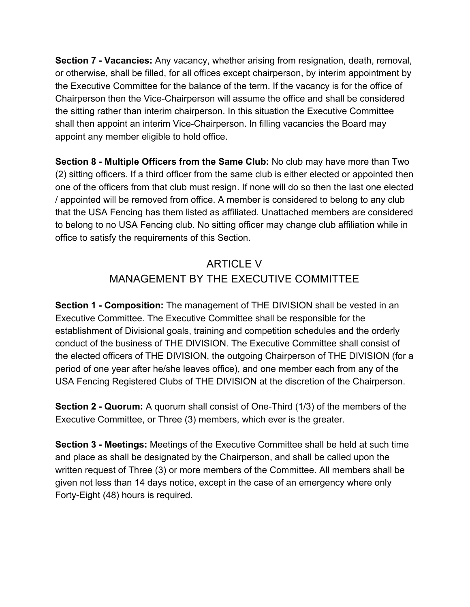**Section 7 - Vacancies:** Any vacancy, whether arising from resignation, death, removal, or otherwise, shall be filled, for all offices except chairperson, by interim appointment by the Executive Committee for the balance of the term. If the vacancy is for the office of Chairperson then the Vice-Chairperson will assume the office and shall be considered the sitting rather than interim chairperson. In this situation the Executive Committee shall then appoint an interim Vice-Chairperson. In filling vacancies the Board may appoint any member eligible to hold office.

**Section 8 - Multiple Officers from the Same Club:** No club may have more than Two (2) sitting officers. If a third officer from the same club is either elected or appointed then one of the officers from that club must resign. If none will do so then the last one elected / appointed will be removed from office. A member is considered to belong to any club that the USA Fencing has them listed as affiliated. Unattached members are considered to belong to no USA Fencing club. No sitting officer may change club affiliation while in office to satisfy the requirements of this Section.

### ARTICLE V MANAGEMENT BY THE EXECUTIVE COMMITTEE

**Section 1 - Composition:** The management of THE DIVISION shall be vested in an Executive Committee. The Executive Committee shall be responsible for the establishment of Divisional goals, training and competition schedules and the orderly conduct of the business of THE DIVISION. The Executive Committee shall consist of the elected officers of THE DIVISION, the outgoing Chairperson of THE DIVISION (for a period of one year after he/she leaves office), and one member each from any of the USA Fencing Registered Clubs of THE DIVISION at the discretion of the Chairperson.

**Section 2 - Quorum:** A quorum shall consist of One-Third (1/3) of the members of the Executive Committee, or Three (3) members, which ever is the greater.

**Section 3 - Meetings:** Meetings of the Executive Committee shall be held at such time and place as shall be designated by the Chairperson, and shall be called upon the written request of Three (3) or more members of the Committee. All members shall be given not less than 14 days notice, except in the case of an emergency where only Forty-Eight (48) hours is required.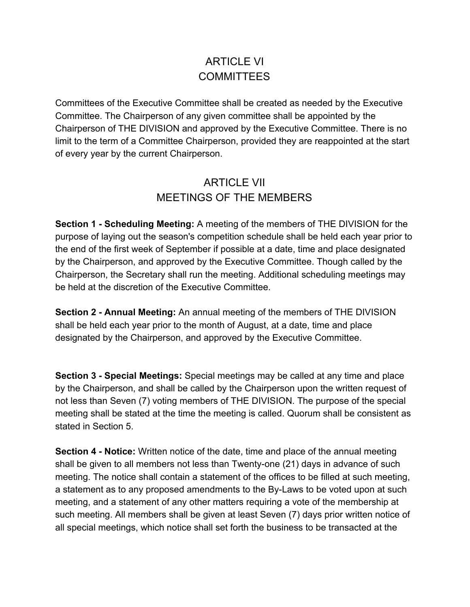### ARTICLE VI **COMMITTEES**

Committees of the Executive Committee shall be created as needed by the Executive Committee. The Chairperson of any given committee shall be appointed by the Chairperson of THE DIVISION and approved by the Executive Committee. There is no limit to the term of a Committee Chairperson, provided they are reappointed at the start of every year by the current Chairperson.

#### ARTICLE VII MEETINGS OF THE MEMBERS

**Section 1 - Scheduling Meeting:** A meeting of the members of THE DIVISION for the purpose of laying out the season's competition schedule shall be held each year prior to the end of the first week of September if possible at a date, time and place designated by the Chairperson, and approved by the Executive Committee. Though called by the Chairperson, the Secretary shall run the meeting. Additional scheduling meetings may be held at the discretion of the Executive Committee.

**Section 2 - Annual Meeting:** An annual meeting of the members of THE DIVISION shall be held each year prior to the month of August, at a date, time and place designated by the Chairperson, and approved by the Executive Committee.

**Section 3 - Special Meetings:** Special meetings may be called at any time and place by the Chairperson, and shall be called by the Chairperson upon the written request of not less than Seven (7) voting members of THE DIVISION. The purpose of the special meeting shall be stated at the time the meeting is called. Quorum shall be consistent as stated in Section 5.

**Section 4 - Notice:** Written notice of the date, time and place of the annual meeting shall be given to all members not less than Twenty-one (21) days in advance of such meeting. The notice shall contain a statement of the offices to be filled at such meeting, a statement as to any proposed amendments to the By-Laws to be voted upon at such meeting, and a statement of any other matters requiring a vote of the membership at such meeting. All members shall be given at least Seven (7) days prior written notice of all special meetings, which notice shall set forth the business to be transacted at the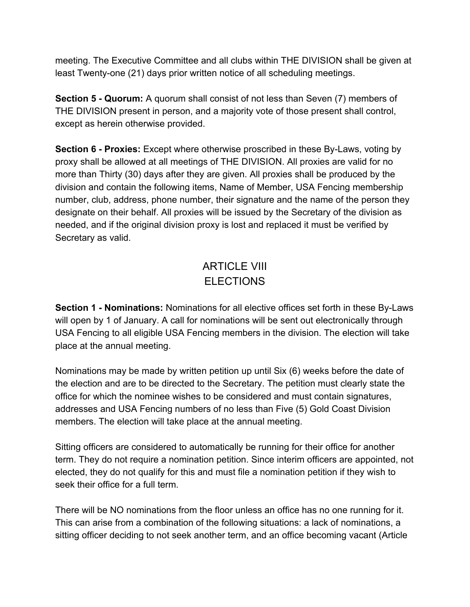meeting. The Executive Committee and all clubs within THE DIVISION shall be given at least Twenty-one (21) days prior written notice of all scheduling meetings.

**Section 5 - Quorum:** A quorum shall consist of not less than Seven (7) members of THE DIVISION present in person, and a majority vote of those present shall control, except as herein otherwise provided.

**Section 6 - Proxies:** Except where otherwise proscribed in these By-Laws, voting by proxy shall be allowed at all meetings of THE DIVISION. All proxies are valid for no more than Thirty (30) days after they are given. All proxies shall be produced by the division and contain the following items, Name of Member, USA Fencing membership number, club, address, phone number, their signature and the name of the person they designate on their behalf. All proxies will be issued by the Secretary of the division as needed, and if the original division proxy is lost and replaced it must be verified by Secretary as valid.

## ARTICLE VIII ELECTIONS

**Section 1 - Nominations:** Nominations for all elective offices set forth in these By-Laws will open by 1 of January. A call for nominations will be sent out electronically through USA Fencing to all eligible USA Fencing members in the division. The election will take place at the annual meeting.

Nominations may be made by written petition up until Six (6) weeks before the date of the election and are to be directed to the Secretary. The petition must clearly state the office for which the nominee wishes to be considered and must contain signatures, addresses and USA Fencing numbers of no less than Five (5) Gold Coast Division members. The election will take place at the annual meeting.

Sitting officers are considered to automatically be running for their office for another term. They do not require a nomination petition. Since interim officers are appointed, not elected, they do not qualify for this and must file a nomination petition if they wish to seek their office for a full term.

There will be NO nominations from the floor unless an office has no one running for it. This can arise from a combination of the following situations: a lack of nominations, a sitting officer deciding to not seek another term, and an office becoming vacant (Article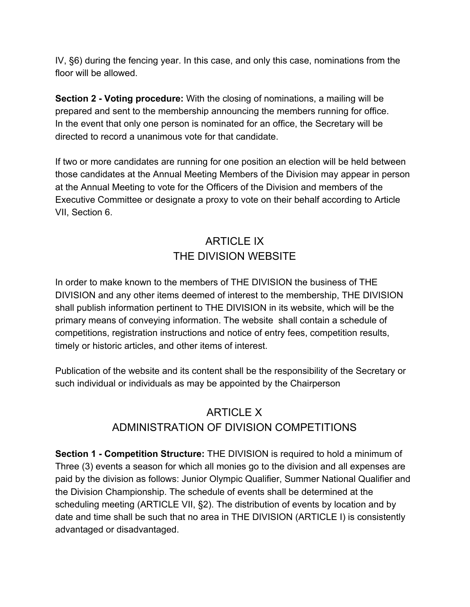IV, §6) during the fencing year. In this case, and only this case, nominations from the floor will be allowed.

**Section 2 - Voting procedure:** With the closing of nominations, a mailing will be prepared and sent to the membership announcing the members running for office. In the event that only one person is nominated for an office, the Secretary will be directed to record a unanimous vote for that candidate.

If two or more candidates are running for one position an election will be held between those candidates at the Annual Meeting Members of the Division may appear in person at the Annual Meeting to vote for the Officers of the Division and members of the Executive Committee or designate a proxy to vote on their behalf according to Article VII, Section 6.

### ARTICLE IX THE DIVISION WEBSITE

In order to make known to the members of THE DIVISION the business of THE DIVISION and any other items deemed of interest to the membership, THE DIVISION shall publish information pertinent to THE DIVISION in its website, which will be the primary means of conveying information. The website shall contain a schedule of competitions, registration instructions and notice of entry fees, competition results, timely or historic articles, and other items of interest.

Publication of the website and its content shall be the responsibility of the Secretary or such individual or individuals as may be appointed by the Chairperson

### ARTICLE X ADMINISTRATION OF DIVISION COMPETITIONS

**Section 1 - Competition Structure:** THE DIVISION is required to hold a minimum of Three (3) events a season for which all monies go to the division and all expenses are paid by the division as follows: Junior Olympic Qualifier, Summer National Qualifier and the Division Championship. The schedule of events shall be determined at the scheduling meeting (ARTICLE VII, §2). The distribution of events by location and by date and time shall be such that no area in THE DIVISION (ARTICLE I) is consistently advantaged or disadvantaged.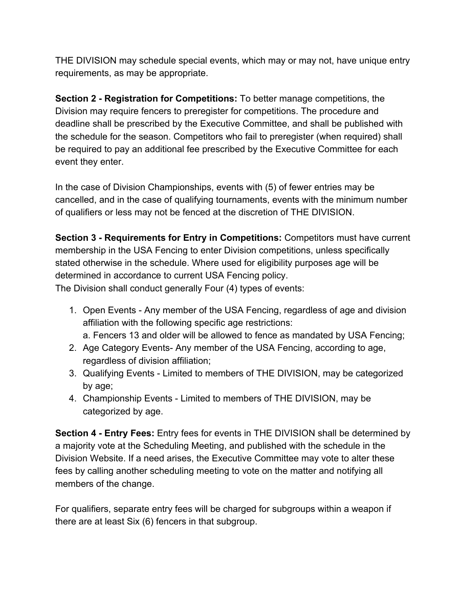THE DIVISION may schedule special events, which may or may not, have unique entry requirements, as may be appropriate.

**Section 2 - Registration for Competitions:** To better manage competitions, the Division may require fencers to preregister for competitions. The procedure and deadline shall be prescribed by the Executive Committee, and shall be published with the schedule for the season. Competitors who fail to preregister (when required) shall be required to pay an additional fee prescribed by the Executive Committee for each event they enter.

In the case of Division Championships, events with (5) of fewer entries may be cancelled, and in the case of qualifying tournaments, events with the minimum number of qualifiers or less may not be fenced at the discretion of THE DIVISION.

**Section 3 - Requirements for Entry in Competitions:** Competitors must have current membership in the USA Fencing to enter Division competitions, unless specifically stated otherwise in the schedule. Where used for eligibility purposes age will be determined in accordance to current USA Fencing policy. The Division shall conduct generally Four (4) types of events:

1. Open Events - Any member of the USA Fencing, regardless of age and division

- affiliation with the following specific age restrictions: a. Fencers 13 and older will be allowed to fence as mandated by USA Fencing;
- 2. Age Category Events- Any member of the USA Fencing, according to age, regardless of division affiliation;
- 3. Qualifying Events Limited to members of THE DIVISION, may be categorized by age;
- 4. Championship Events Limited to members of THE DIVISION, may be categorized by age.

**Section 4 - Entry Fees:** Entry fees for events in THE DIVISION shall be determined by a majority vote at the Scheduling Meeting, and published with the schedule in the Division Website. If a need arises, the Executive Committee may vote to alter these fees by calling another scheduling meeting to vote on the matter and notifying all members of the change.

For qualifiers, separate entry fees will be charged for subgroups within a weapon if there are at least Six (6) fencers in that subgroup.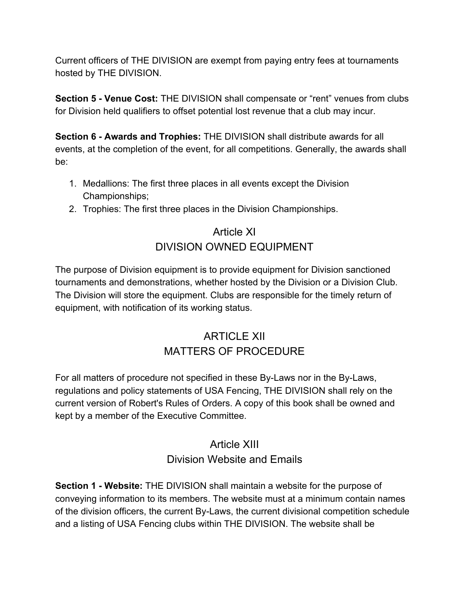Current officers of THE DIVISION are exempt from paying entry fees at tournaments hosted by THE DIVISION.

**Section 5 - Venue Cost:** THE DIVISION shall compensate or "rent" venues from clubs for Division held qualifiers to offset potential lost revenue that a club may incur.

**Section 6 - Awards and Trophies:** THE DIVISION shall distribute awards for all events, at the completion of the event, for all competitions. Generally, the awards shall be:

- 1. Medallions: The first three places in all events except the Division Championships;
- 2. Trophies: The first three places in the Division Championships.

#### Article XI DIVISION OWNED EQUIPMENT

The purpose of Division equipment is to provide equipment for Division sanctioned tournaments and demonstrations, whether hosted by the Division or a Division Club. The Division will store the equipment. Clubs are responsible for the timely return of equipment, with notification of its working status.

### ARTICLE XII MATTERS OF PROCEDURE

For all matters of procedure not specified in these By-Laws nor in the By-Laws, regulations and policy statements of USA Fencing, THE DIVISION shall rely on the current version of Robert's Rules of Orders. A copy of this book shall be owned and kept by a member of the Executive Committee.

#### Article XIII Division Website and Emails

**Section 1 - Website:** THE DIVISION shall maintain a website for the purpose of conveying information to its members. The website must at a minimum contain names of the division officers, the current By-Laws, the current divisional competition schedule and a listing of USA Fencing clubs within THE DIVISION. The website shall be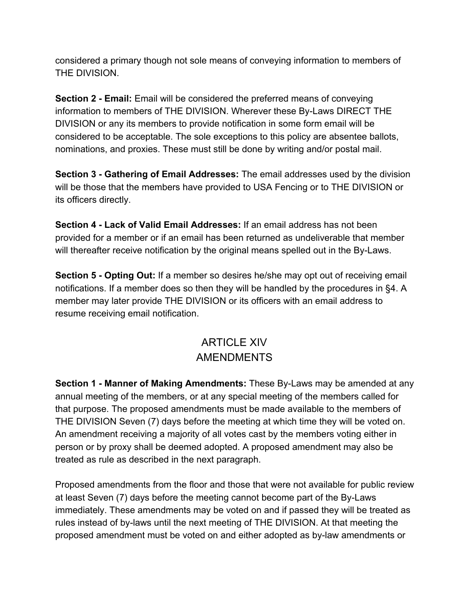considered a primary though not sole means of conveying information to members of THE DIVISION.

**Section 2 - Email:** Email will be considered the preferred means of conveying information to members of THE DIVISION. Wherever these By-Laws DIRECT THE DIVISION or any its members to provide notification in some form email will be considered to be acceptable. The sole exceptions to this policy are absentee ballots, nominations, and proxies. These must still be done by writing and/or postal mail.

**Section 3 - Gathering of Email Addresses:** The email addresses used by the division will be those that the members have provided to USA Fencing or to THE DIVISION or its officers directly.

**Section 4 - Lack of Valid Email Addresses:** If an email address has not been provided for a member or if an email has been returned as undeliverable that member will thereafter receive notification by the original means spelled out in the By-Laws.

**Section 5 - Opting Out:** If a member so desires he/she may opt out of receiving email notifications. If a member does so then they will be handled by the procedures in §4. A member may later provide THE DIVISION or its officers with an email address to resume receiving email notification.

### ARTICLE XIV AMENDMENTS

**Section 1 - Manner of Making Amendments:** These By-Laws may be amended at any annual meeting of the members, or at any special meeting of the members called for that purpose. The proposed amendments must be made available to the members of THE DIVISION Seven (7) days before the meeting at which time they will be voted on. An amendment receiving a majority of all votes cast by the members voting either in person or by proxy shall be deemed adopted. A proposed amendment may also be treated as rule as described in the next paragraph.

Proposed amendments from the floor and those that were not available for public review at least Seven (7) days before the meeting cannot become part of the By-Laws immediately. These amendments may be voted on and if passed they will be treated as rules instead of by-laws until the next meeting of THE DIVISION. At that meeting the proposed amendment must be voted on and either adopted as by-law amendments or